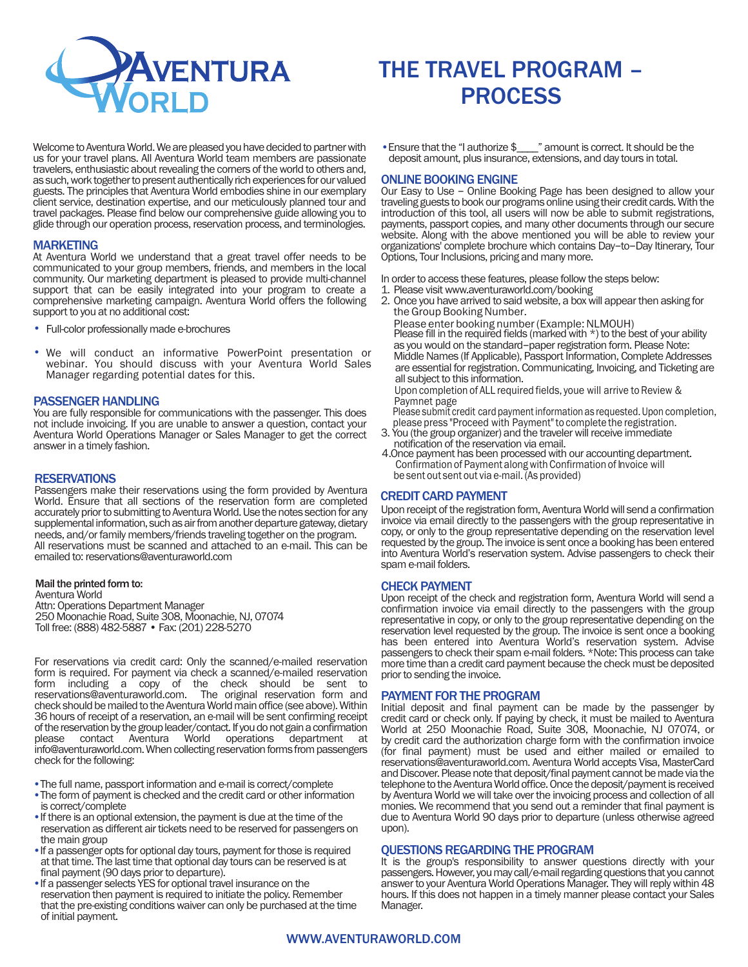

# THE TRAVEL PROGRAM – **PROCESS**

Welcome to Aventura World. We are pleased you have decided to partner with us for your travel plans. All Aventura World team members are passionate travelers, enthusiastic about revealing the corners of the world to others and, as such, work together to present authentically rich experiences for our valued guests. The principles that Aventura World embodies shine in our exemplary client service, destination expertise, and our meticulously planned tour and travel packages. Please find below our comprehensive guide allowing you to glide through our operation process, reservation process, and terminologies.

# **MARKETING**

At Aventura World we understand that a great travel offer needs to be communicated to your group members, friends, and members in the local community. Our marketing department is pleased to provide multi-channel support that can be easily integrated into your program to create a comprehensive marketing campaign. Aventura World offers the following support to you at no additional cost:

- Full-color professionally made e-brochures
- We will conduct an informative PowerPoint presentation or webinar. You should discuss with your Aventura World Sales Manager regarding potential dates for this.

### PASSENGER HANDLING

You are fully responsible for communications with the passenger. This does not include invoicing. If you are unable to answer a question, contact your Aventura World Operations Manager or Sales Manager to get the correct answer in a timely fashion.

# **RESERVATIONS**

Passengers make their reservations using the form provided by Aventura World. Ensure that all sections of the reservation form are completed accurately prior to submitting to Aventura World. Use the notes section for any supplemental information, such as air from another departure gateway, dietary needs, and/or family members/friends traveling together on the program. All reservations must be scanned and attached to an e-mail. This can be emailed to: reservations@aventuraworld.com

#### Mail the printed form to:

Aventura World Attn: Operations Department Manager 250 Moonachie Road, Suite 308, Moonachie, NJ, 07074 Toll free: (888) 482-5887 • Fax: (201) 228-5270

For reservations via credit card: Only the scanned/e-mailed reservation form is required. For payment via check a scanned/e-mailed reservation form including a copy of the check should be sent to reservations@aventuraworld.com. The original reservation form and check should be mailed to the Aventura World main office (see above). Within 36 hours of receipt of a reservation, an e-mail will be sent confirming receipt of the reservation by the group leader/contact. If you do not gain a confirmation please contact Aventura World operations department at info@aventuraworld.com. When collecting reservation forms from passengers check for the following:

- •The full name, passport information and e-mail is correct/complete
- •The form of payment is checked and the credit card or other information is correct/complete
- •If there is an optional extension, the payment is due at the time of the reservation as different air tickets need to be reserved for passengers on the main group
- •If a passenger opts for optional day tours, payment for those is required at that time. The last time that optional day tours can be reserved is at final payment (90 days prior to departure).
- •If a passenger selects YES for optional travel insurance on the reservation then payment is required to initiate the policy. Remember that the pre-existing conditions waiver can only be purchased at the time of initial payment.

• Ensure that the "I authorize \$\_\_\_\_" amount is correct. It should be the deposit amount, plus insurance, extensions, and day tours in total.

# ONLINE BOOKING ENGINE

Our Easy to Use - Online Booking Page has been designed to allow your traveling guests to book our programs online using their credit cards. With the introduction of this tool, all users will now be able to submit registrations, payments, passport copies, and many other documents through our secure website. Along with the above mentioned you will be able to review your organizations' complete brochure which contains Day-to-Day Itinerary, Tour Options, Tour Inclusions, pricing and many more.

In order to access these features, please follow the steps below:

- 1. Please visit www.aventuraworld.com/booking
- 2. Once you have arrived to said website, a box will appear then asking for the Group Booking Number.

Please enter booking number (Example: NLMOUH) Please fill in the required fields (marked with  $*$ ) to the best of your ability as you would on the standard-paper registration form. Please Note: Middle Names (If Applicable), Passport Information, Complete Addresses are essential for registration. Communicating, Invoicing, and Ticketing are all subject to this information.

Upon completion of ALL required fields, youe will arrive to Review & Paymnet page

Please submit credit card payment information as requested. Upon completion,

- please press "Proceed with Payment"to complete the registration. 3. You (the group organizer) and the traveler will receive immediate notification of the reservation via email.
- 4.Once payment has been processed with our accounting department. Confirmation of Payment along with Confirmation of Invoice will be sent out sent out via e-mail. (As provided)

# CREDIT CARD PAYMENT

Upon receipt of the registration form, Aventura World will send a confirmation invoice via email directly to the passengers with the group representative in copy, or only to the group representative depending on the reservation level requested by the group. The invoice is sent once a booking has been entered into Aventura World's reservation system. Advise passengers to check their spam e-mail folders.

### CHECK PAYMENT

Upon receipt of the check and registration form, Aventura World will send a confirmation invoice via email directly to the passengers with the group representative in copy, or only to the group representative depending on the reservation level requested by the group. The invoice is sent once a booking has been entered into Aventura World's reservation system. Advise passengers to check their spam e-mail folders. \*Note: This process can take more time than a credit card payment because the check must be deposited prior to sending the invoice.

# PAYMENT FOR THE PROGRAM

Initial deposit and final payment can be made by the passenger by credit card or check only. If paying by check, it must be mailed to Aventura World at 250 Moonachie Road, Suite 308, Moonachie, NJ 07074, or by credit card the authorization charge form with the confirmation invoice (for final payment) must be used and either mailed or emailed to reservations@aventuraworld.com. Aventura World accepts Visa, MasterCard and Discover. Please note that deposit/final payment cannot be made via the telephone to the Aventura World office. Once the deposit/payment is received by Aventura World we will take over the invoicing process and collection of all monies. We recommend that you send out a reminder that final payment is due to Aventura World 90 days prior to departure (unless otherwise agreed upon).

# QUESTIONS REGARDING THE PROGRAM

It is the group's responsibility to answer questions directly with your passengers. However, you may call/e-mail regarding questions that you cannot answer to your Aventura World Operations Manager. They will reply within 48 hours. If this does not happen in a timely manner please contact your Sales Manager.